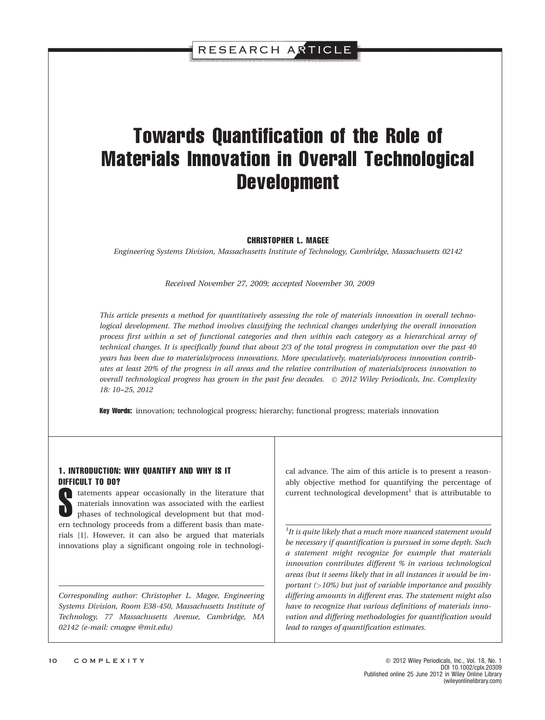# RESEARCH ARTICLE

# Towards Quantification of the Role of Materials Innovation in Overall Technological Development

## CHRISTOPHER L. MAGEE

Engineering Systems Division, Massachusetts Institute of Technology, Cambridge, Massachusetts 02142

Received November 27, 2009; accepted November 30, 2009

This article presents a method for quantitatively assessing the role of materials innovation in overall technological development. The method involves classifying the technical changes underlying the overall innovation process first within a set of functional categories and then within each category as a hierarchical array of technical changes. It is specifically found that about 2/3 of the total progress in computation over the past 40 years has been due to materials/process innovations. More speculatively, materials/process innovation contributes at least 20% of the progress in all areas and the relative contribution of materials/process innovation to overall technological progress has grown in the past few decades.  $\circ$  2012 Wiley Periodicals, Inc. Complexity 18: 10-25, 2012

Key Words: innovation; technological progress; hierarchy; functional progress; materials innovation

# 1. INTRODUCTION: WHY QUANTIFY AND WHY IS IT DIFFICULT TO DO?

tatements appear occasionally in the literature that<br>
materials innovation was associated with the earliest<br>
phases of technological development but that modmaterials innovation was associated with the earliest phases of technological development but that modern technology proceeds from a different basis than materials [1]. However, it can also be argued that materials innovations play a significant ongoing role in technologi-

Corresponding author: Christopher L. Magee, Engineering Systems Division, Room E38-450, Massachusetts Institute of Technology, 77 Massachusetts Avenue, Cambridge, MA 02142 (e-mail: cmagee @mit.edu)

cal advance. The aim of this article is to present a reasonably objective method for quantifying the percentage of current technological development<sup>1</sup> that is attributable to

 $1$ It is quite likely that a much more nuanced statement would be necessary if quantification is pursued in some depth. Such a statement might recognize for example that materials innovation contributes different % in various technological areas (but it seems likely that in all instances it would be important  $(>10\%)$  but just of variable importance and possibly differing amounts in different eras. The statement might also have to recognize that various definitions of materials innovation and differing methodologies for quantification would lead to ranges of quantification estimates.

10 C O M P L E X I T Y Q 2012 Wiley Periodicals, Inc., Vol. 18, No. 1 DOI 10.1002/cplx.20309 Published online 25 June 2012 in Wiley Online Library (wileyonlinelibrary.com)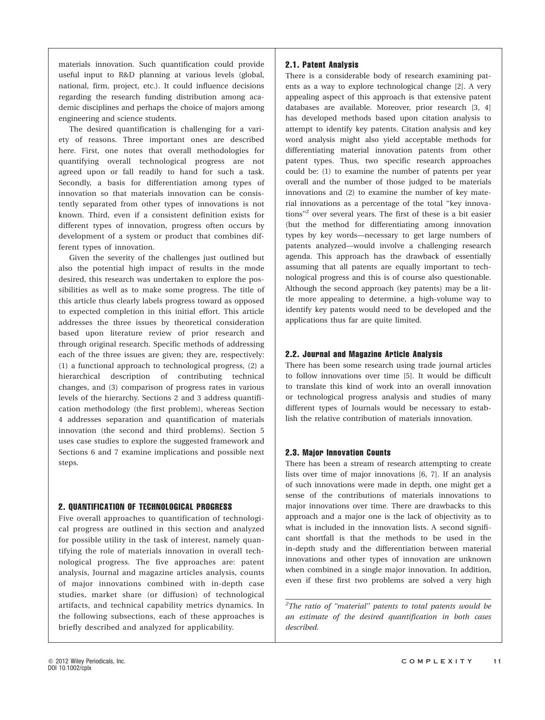materials innovation. Such quantification could provide useful input to R&D planning at various levels (global, national, firm, project, etc.). It could influence decisions regarding the research funding distribution among academic disciplines and perhaps the choice of majors among engineering and science students.

The desired quantification is challenging for a variety of reasons. Three important ones are described here. First, one notes that overall methodologies for quantifying overall technological progress are not agreed upon or fall readily to hand for such a task. Secondly, a basis for differentiation among types of innovation so that materials innovation can be consistently separated from other types of innovations is not known. Third, even if a consistent definition exists for different types of innovation, progress often occurs by development of a system or product that combines different types of innovation.

Given the severity of the challenges just outlined but also the potential high impact of results in the mode desired, this research was undertaken to explore the possibilities as well as to make some progress. The title of this article thus clearly labels progress toward as opposed to expected completion in this initial effort. This article addresses the three issues by theoretical consideration based upon literature review of prior research and through original research. Specific methods of addressing each of the three issues are given; they are, respectively: (1) a functional approach to technological progress, (2) a hierarchical description of contributing technical changes, and (3) comparison of progress rates in various levels of the hierarchy. Sections 2 and 3 address quantification methodology (the first problem), whereas Section 4 addresses separation and quantification of materials innovation (the second and third problems). Section 5 uses case studies to explore the suggested framework and Sections 6 and 7 examine implications and possible next steps.

## 2. QUANTIFICATION OF TECHNOLOGICAL PROGRESS

Five overall approaches to quantification of technological progress are outlined in this section and analyzed for possible utility in the task of interest, namely quantifying the role of materials innovation in overall technological progress. The five approaches are: patent analysis, Journal and magazine articles analysis, counts of major innovations combined with in-depth case studies, market share (or diffusion) of technological artifacts, and technical capability metrics dynamics. In the following subsections, each of these approaches is briefly described and analyzed for applicability.

# 2.1. Patent Analysis

There is a considerable body of research examining patents as a way to explore technological change [2]. A very appealing aspect of this approach is that extensive patent databases are available. Moreover, prior research [3, 4] has developed methods based upon citation analysis to attempt to identify key patents. Citation analysis and key word analysis might also yield acceptable methods for differentiating material innovation patents from other patent types. Thus, two specific research approaches could be: (1) to examine the number of patents per year overall and the number of those judged to be materials innovations and (2) to examine the number of key material innovations as a percentage of the total ''key innovations''<sup>2</sup> over several years. The first of these is a bit easier (but the method for differentiating among innovation types by key words—necessary to get large numbers of patents analyzed—would involve a challenging research agenda. This approach has the drawback of essentially assuming that all patents are equally important to technological progress and this is of course also questionable. Although the second approach (key patents) may be a little more appealing to determine, a high-volume way to identify key patents would need to be developed and the applications thus far are quite limited.

# 2.2. Journal and Magazine Article Analysis

There has been some research using trade journal articles to follow innovations over time [5]. It would be difficult to translate this kind of work into an overall innovation or technological progress analysis and studies of many different types of Journals would be necessary to establish the relative contribution of materials innovation.

# 2.3. Major Innovation Counts

There has been a stream of research attempting to create lists over time of major innovations [6, 7]. If an analysis of such innovations were made in depth, one might get a sense of the contributions of materials innovations to major innovations over time. There are drawbacks to this approach and a major one is the lack of objectivity as to what is included in the innovation lists. A second significant shortfall is that the methods to be used in the in-depth study and the differentiation between material innovations and other types of innovation are unknown when combined in a single major innovation. In addition, even if these first two problems are solved a very high

<sup>2</sup>The ratio of "material" patents to total patents would be an estimate of the desired quantification in both cases described.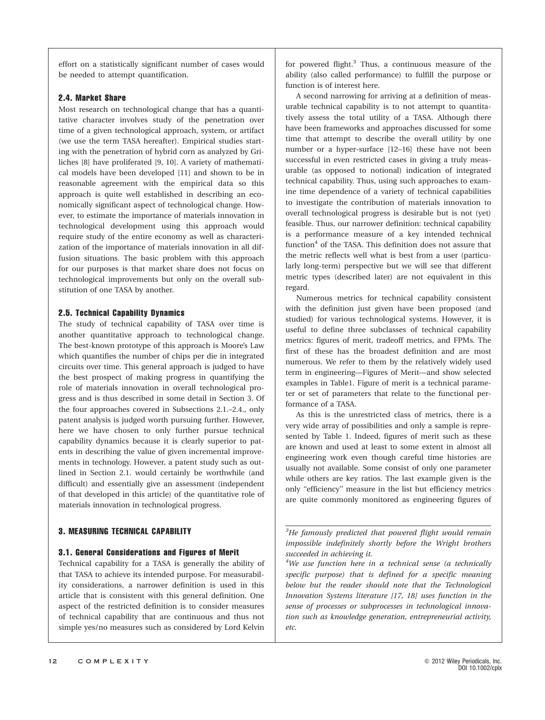effort on a statistically significant number of cases would be needed to attempt quantification.

## 2.4. Market Share

Most research on technological change that has a quantitative character involves study of the penetration over time of a given technological approach, system, or artifact (we use the term TASA hereafter). Empirical studies starting with the penetration of hybrid corn as analyzed by Griliches [8] have proliferated [9, 10]. A variety of mathematical models have been developed [11] and shown to be in reasonable agreement with the empirical data so this approach is quite well established in describing an economically significant aspect of technological change. However, to estimate the importance of materials innovation in technological development using this approach would require study of the entire economy as well as characterization of the importance of materials innovation in all diffusion situations. The basic problem with this approach for our purposes is that market share does not focus on technological improvements but only on the overall substitution of one TASA by another.

## 2.5. Technical Capability Dynamics

The study of technical capability of TASA over time is another quantitative approach to technological change. The best-known prototype of this approach is Moore's Law which quantifies the number of chips per die in integrated circuits over time. This general approach is judged to have the best prospect of making progress in quantifying the role of materials innovation in overall technological progress and is thus described in some detail in Section 3. Of the four approaches covered in Subsections 2.1.–2.4., only patent analysis is judged worth pursuing further. However, here we have chosen to only further pursue technical capability dynamics because it is clearly superior to patents in describing the value of given incremental improvements in technology. However, a patent study such as outlined in Section 2.1. would certainly be worthwhile (and difficult) and essentially give an assessment (independent of that developed in this article) of the quantitative role of materials innovation in technological progress.

# 3. MEASURING TECHNICAL CAPABILITY

## 3.1. General Considerations and Figures of Merit

Technical capability for a TASA is generally the ability of that TASA to achieve its intended purpose. For measurability considerations, a narrower definition is used in this article that is consistent with this general definition. One aspect of the restricted definition is to consider measures of technical capability that are continuous and thus not simple yes/no measures such as considered by Lord Kelvin for powered flight. $3$  Thus, a continuous measure of the ability (also called performance) to fulfill the purpose or function is of interest here.

A second narrowing for arriving at a definition of measurable technical capability is to not attempt to quantitatively assess the total utility of a TASA. Although there have been frameworks and approaches discussed for some time that attempt to describe the overall utility by one number or a hyper-surface [12–16] these have not been successful in even restricted cases in giving a truly measurable (as opposed to notional) indication of integrated technical capability. Thus, using such approaches to examine time dependence of a variety of technical capabilities to investigate the contribution of materials innovation to overall technological progress is desirable but is not (yet) feasible. Thus, our narrower definition: technical capability is a performance measure of a key intended technical  $function<sup>4</sup>$  of the TASA. This definition does not assure that the metric reflects well what is best from a user (particularly long-term) perspective but we will see that different metric types (described later) are not equivalent in this regard.

Numerous metrics for technical capability consistent with the definition just given have been proposed (and studied) for various technological systems. However, it is useful to define three subclasses of technical capability metrics: figures of merit, tradeoff metrics, and FPMs. The first of these has the broadest definition and are most numerous. We refer to them by the relatively widely used term in engineering—Figures of Merit—and show selected examples in Table1. Figure of merit is a technical parameter or set of parameters that relate to the functional performance of a TASA.

As this is the unrestricted class of metrics, there is a very wide array of possibilities and only a sample is represented by Table 1. Indeed, figures of merit such as these are known and used at least to some extent in almost all engineering work even though careful time histories are usually not available. Some consist of only one parameter while others are key ratios. The last example given is the only ''efficiency'' measure in the list but efficiency metrics are quite commonly monitored as engineering figures of

 $3$ He famously predicted that powered flight would remain impossible indefinitely shortly before the Wright brothers succeeded in achieving it.

 $4$ We use function here in a technical sense (a technically specific purpose) that is defined for a specific meaning below but the reader should note that the Technological Innovation Systems literature [17, 18] uses function in the sense of processes or subprocesses in technological innovation such as knowledge generation, entrepreneurial activity, etc.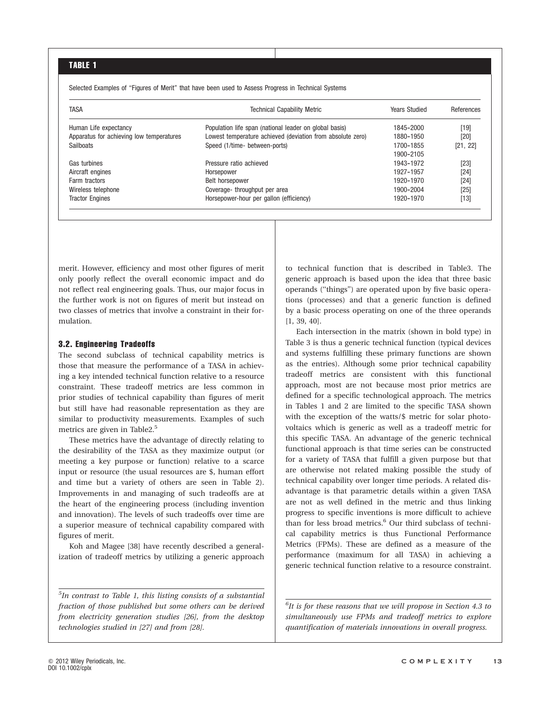Selected Examples of "Figures of Merit" that have been used to Assess Progress in Technical Systems

| <b>TASA</b>                              | <b>Technical Capability Metric</b>                         | <b>Years Studied</b> | References |
|------------------------------------------|------------------------------------------------------------|----------------------|------------|
| Human Life expectancy                    | Population life span (national leader on global basis)     | 1845-2000            | $[19]$     |
| Apparatus for achieving low temperatures | Lowest temperature achieved (deviation from absolute zero) | 1880-1950            | $[20]$     |
| <b>Sailboats</b>                         | Speed (1/time- between-ports)                              | 1700-1855            | [21, 22]   |
|                                          |                                                            | 1900-2105            |            |
| Gas turbines                             | Pressure ratio achieved                                    | 1943-1972            | $[23]$     |
| Aircraft engines                         | Horsepower                                                 | 1927-1957            | [24]       |
| Farm tractors                            | Belt horsepower                                            | 1920-1970            | $[24]$     |
| Wireless telephone                       | Coverage-throughput per area                               | 1900-2004            | $[25]$     |
| <b>Tractor Engines</b>                   | Horsepower-hour per gallon (efficiency)                    | 1920-1970            | [13]       |

merit. However, efficiency and most other figures of merit only poorly reflect the overall economic impact and do not reflect real engineering goals. Thus, our major focus in the further work is not on figures of merit but instead on two classes of metrics that involve a constraint in their formulation.

#### 3.2. Engineering Tradeoffs

The second subclass of technical capability metrics is those that measure the performance of a TASA in achieving a key intended technical function relative to a resource constraint. These tradeoff metrics are less common in prior studies of technical capability than figures of merit but still have had reasonable representation as they are similar to productivity measurements. Examples of such metrics are given in Table2.<sup>5</sup>

These metrics have the advantage of directly relating to the desirability of the TASA as they maximize output (or meeting a key purpose or function) relative to a scarce input or resource (the usual resources are \$, human effort and time but a variety of others are seen in Table 2). Improvements in and managing of such tradeoffs are at the heart of the engineering process (including invention and innovation). The levels of such tradeoffs over time are a superior measure of technical capability compared with figures of merit.

Koh and Magee [38] have recently described a generalization of tradeoff metrics by utilizing a generic approach

 $5$ In contrast to Table 1, this listing consists of a substantial fraction of those published but some others can be derived from electricity generation studies [26], from the desktop technologies studied in [27] and from [28].

to technical function that is described in Table3. The generic approach is based upon the idea that three basic operands (''things'') are operated upon by five basic operations (processes) and that a generic function is defined by a basic process operating on one of the three operands [1, 39, 40].

Each intersection in the matrix (shown in bold type) in Table 3 is thus a generic technical function (typical devices and systems fulfilling these primary functions are shown as the entries). Although some prior technical capability tradeoff metrics are consistent with this functional approach, most are not because most prior metrics are defined for a specific technological approach. The metrics in Tables 1 and 2 are limited to the specific TASA shown with the exception of the watts/\$ metric for solar photovoltaics which is generic as well as a tradeoff metric for this specific TASA. An advantage of the generic technical functional approach is that time series can be constructed for a variety of TASA that fulfill a given purpose but that are otherwise not related making possible the study of technical capability over longer time periods. A related disadvantage is that parametric details within a given TASA are not as well defined in the metric and thus linking progress to specific inventions is more difficult to achieve than for less broad metrics.<sup>6</sup> Our third subclass of technical capability metrics is thus Functional Performance Metrics (FPMs). These are defined as a measure of the performance (maximum for all TASA) in achieving a generic technical function relative to a resource constraint.

 ${}^{6}$ It is for these reasons that we will propose in Section 4.3 to simultaneously use FPMs and tradeoff metrics to explore quantification of materials innovations in overall progress.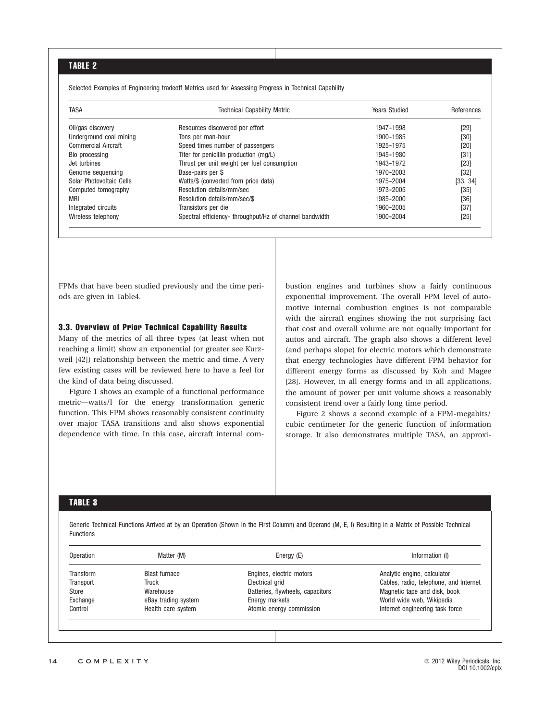Selected Examples of Engineering tradeoff Metrics used for Assessing Progress in Technical Capability

| <b>TASA</b>                | <b>Technical Capability Metric</b>                      | <b>Years Studied</b> | References |
|----------------------------|---------------------------------------------------------|----------------------|------------|
| Oil/gas discovery          | Resources discovered per effort                         | 1947-1998            | [29]       |
| Underground coal mining    | Tons per man-hour                                       | 1900-1985            | $[30]$     |
| <b>Commercial Aircraft</b> | Speed times number of passengers                        | 1925-1975            | $[20]$     |
| Bio processing             | Titer for penicillin production (mg/L)                  | 1945-1980            | $[31]$     |
| Jet turbines               | Thrust per unit weight per fuel consumption             | 1943-1972            | [23]       |
| Genome sequencing          | Base-pairs per \$                                       | 1970-2003            | $[32]$     |
| Solar Photovoltaic Cells   | Watts/\$ (converted from price data)                    | 1975-2004            | [33, 34]   |
| Computed tomography        | Resolution details/mm/sec                               | 1973-2005            | $[35]$     |
| <b>MRI</b>                 | Resolution details/mm/sec/\$                            | 1985-2000            | [36]       |
| Integrated circuits        | Transistors per die                                     | 1960-2005            | $[37]$     |
| Wireless telephony         | Spectral efficiency- throughput/Hz of channel bandwidth | 1900-2004            |            |

FPMs that have been studied previously and the time periods are given in Table4.

#### 3.3. Overview of Prior Technical Capability Results

Many of the metrics of all three types (at least when not reaching a limit) show an exponential (or greater see Kurzweil [42]) relationship between the metric and time. A very few existing cases will be reviewed here to have a feel for the kind of data being discussed.

Figure 1 shows an example of a functional performance metric—watts/l for the energy transformation generic function. This FPM shows reasonably consistent continuity over major TASA transitions and also shows exponential dependence with time. In this case, aircraft internal combustion engines and turbines show a fairly continuous exponential improvement. The overall FPM level of automotive internal combustion engines is not comparable with the aircraft engines showing the not surprising fact that cost and overall volume are not equally important for autos and aircraft. The graph also shows a different level (and perhaps slope) for electric motors which demonstrate that energy technologies have different FPM behavior for different energy forms as discussed by Koh and Magee [28]. However, in all energy forms and in all applications, the amount of power per unit volume shows a reasonably consistent trend over a fairly long time period.

Figure 2 shows a second example of a FPM-megabits/ cubic centimeter for the generic function of information storage. It also demonstrates multiple TASA, an approxi-

## TABLE 3

Generic Technical Functions Arrived at by an Operation (Shown in the First Column) and Operand (M, E, I) Resulting in a Matrix of Possible Technical Functions

| Operation | Matter (M)           | Energy (E)                       | Information (I)                        |
|-----------|----------------------|----------------------------------|----------------------------------------|
| Transform | <b>Blast furnace</b> | Engines, electric motors         | Analytic engine, calculator            |
| Transport | Truck                | Electrical grid                  | Cables, radio, telephone, and Internet |
| Store     | Warehouse            | Batteries, flywheels, capacitors | Magnetic tape and disk, book           |
| Exchange  | eBay trading system  | Energy markets                   | World wide web, Wikipedia              |
| Control   | Health care system   | Atomic energy commission         | Internet engineering task force        |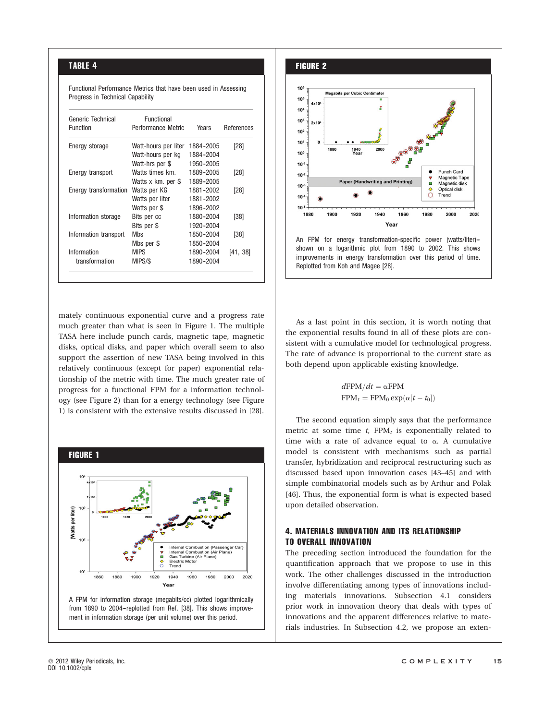Functional Performance Metrics that have been used in Assessing Progress in Technical Capability

| Generic Technical<br>Function | Functional<br>Performance Metric | Years     | References |
|-------------------------------|----------------------------------|-----------|------------|
| Energy storage                | Watt-hours per liter             | 1884-2005 | [28]       |
|                               | Watt-hours per kg                | 1884-2004 |            |
|                               | Watt-hrs per \$                  | 1950-2005 |            |
| Energy transport              | Watts times km.                  | 1889-2005 | [28]       |
|                               | Watts x km. per \$               | 1889-2005 |            |
| Energy transformation         | Watts per KG                     | 1881-2002 | [28]       |
|                               | Watts per liter                  | 1881-2002 |            |
|                               | Watts per \$                     | 1896-2002 |            |
| Information storage           | Bits per cc                      | 1880-2004 | [38]       |
|                               | Bits per \$                      | 1920-2004 |            |
| Information transport         | <b>Mbs</b>                       | 1850-2004 | [38]       |
|                               | Mbs per \$                       | 1850-2004 |            |
| Information                   | <b>MIPS</b>                      | 1890-2004 | [41, 38]   |
| transformation                | MIPS/S                           | 1890-2004 |            |

mately continuous exponential curve and a progress rate much greater than what is seen in Figure 1. The multiple TASA here include punch cards, magnetic tape, magnetic disks, optical disks, and paper which overall seem to also support the assertion of new TASA being involved in this relatively continuous (except for paper) exponential relationship of the metric with time. The much greater rate of progress for a functional FPM for a information technology (see Figure 2) than for a energy technology (see Figure 1) is consistent with the extensive results discussed in [28].







As a last point in this section, it is worth noting that the exponential results found in all of these plots are consistent with a cumulative model for technological progress. The rate of advance is proportional to the current state as both depend upon applicable existing knowledge.

> $dFPM/dt = \alpha FPM$  $FPM_t = FPM_0 \exp(\alpha[t - t_0])$

The second equation simply says that the performance metric at some time  $t$ ,  $FPM_t$  is exponentially related to time with a rate of advance equal to  $\alpha$ . A cumulative model is consistent with mechanisms such as partial transfer, hybridization and reciprocal restructuring such as discussed based upon innovation cases [43–45] and with simple combinatorial models such as by Arthur and Polak [46]. Thus, the exponential form is what is expected based upon detailed observation.

# 4. MATERIALS INNOVATION AND ITS RELATIONSHIP TO OVERALL INNOVATION

The preceding section introduced the foundation for the quantification approach that we propose to use in this work. The other challenges discussed in the introduction involve differentiating among types of innovations including materials innovations. Subsection 4.1 considers prior work in innovation theory that deals with types of innovations and the apparent differences relative to materials industries. In Subsection 4.2, we propose an exten-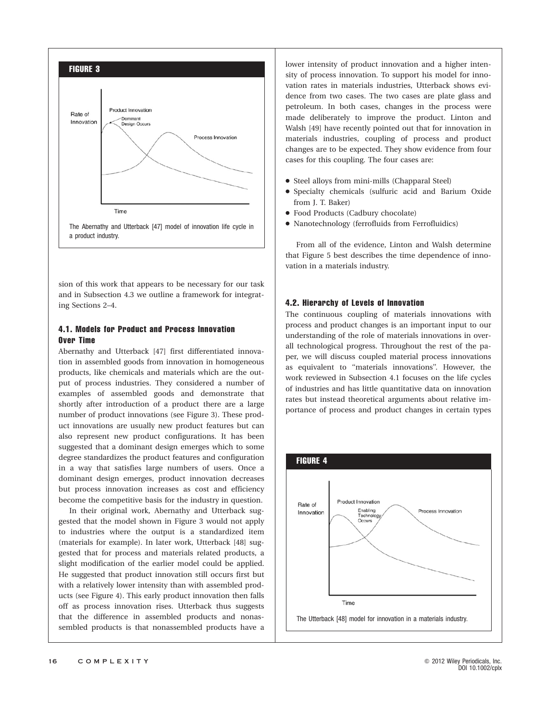

sion of this work that appears to be necessary for our task and in Subsection 4.3 we outline a framework for integrating Sections 2–4.

## 4.1. Models for Product and Process Innovation Over Time

Abernathy and Utterback [47] first differentiated innovation in assembled goods from innovation in homogeneous products, like chemicals and materials which are the output of process industries. They considered a number of examples of assembled goods and demonstrate that shortly after introduction of a product there are a large number of product innovations (see Figure 3). These product innovations are usually new product features but can also represent new product configurations. It has been suggested that a dominant design emerges which to some degree standardizes the product features and configuration in a way that satisfies large numbers of users. Once a dominant design emerges, product innovation decreases but process innovation increases as cost and efficiency become the competitive basis for the industry in question.

In their original work, Abernathy and Utterback suggested that the model shown in Figure 3 would not apply to industries where the output is a standardized item (materials for example). In later work, Utterback [48] suggested that for process and materials related products, a slight modification of the earlier model could be applied. He suggested that product innovation still occurs first but with a relatively lower intensity than with assembled products (see Figure 4). This early product innovation then falls off as process innovation rises. Utterback thus suggests that the difference in assembled products and nonassembled products is that nonassembled products have a

lower intensity of product innovation and a higher intensity of process innovation. To support his model for innovation rates in materials industries, Utterback shows evidence from two cases. The two cases are plate glass and petroleum. In both cases, changes in the process were made deliberately to improve the product. Linton and Walsh [49] have recently pointed out that for innovation in materials industries, coupling of process and product changes are to be expected. They show evidence from four cases for this coupling. The four cases are:

- c Steel alloys from mini-mills (Chapparal Steel)
- c Specialty chemicals (sulfuric acid and Barium Oxide from J. T. Baker)
- Food Products (Cadbury chocolate)
- Nanotechnology (ferrofluids from Ferrofluidics)

From all of the evidence, Linton and Walsh determine that Figure 5 best describes the time dependence of innovation in a materials industry.

#### 4.2. Hierarchy of Levels of Innovation

The continuous coupling of materials innovations with process and product changes is an important input to our understanding of the role of materials innovations in overall technological progress. Throughout the rest of the paper, we will discuss coupled material process innovations as equivalent to ''materials innovations''. However, the work reviewed in Subsection 4.1 focuses on the life cycles of industries and has little quantitative data on innovation rates but instead theoretical arguments about relative importance of process and product changes in certain types

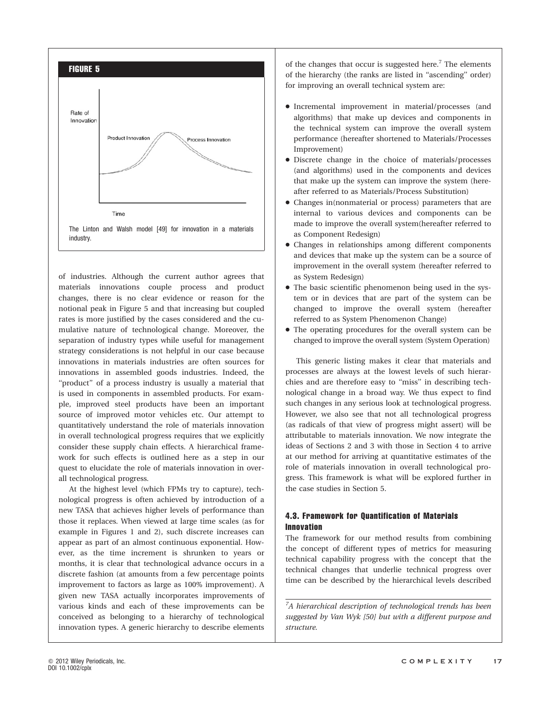

of industries. Although the current author agrees that materials innovations couple process and product changes, there is no clear evidence or reason for the notional peak in Figure 5 and that increasing but coupled rates is more justified by the cases considered and the cumulative nature of technological change. Moreover, the separation of industry types while useful for management strategy considerations is not helpful in our case because innovations in materials industries are often sources for innovations in assembled goods industries. Indeed, the "product" of a process industry is usually a material that is used in components in assembled products. For example, improved steel products have been an important source of improved motor vehicles etc. Our attempt to quantitatively understand the role of materials innovation in overall technological progress requires that we explicitly consider these supply chain effects. A hierarchical framework for such effects is outlined here as a step in our quest to elucidate the role of materials innovation in overall technological progress.

At the highest level (which FPMs try to capture), technological progress is often achieved by introduction of a new TASA that achieves higher levels of performance than those it replaces. When viewed at large time scales (as for example in Figures 1 and 2), such discrete increases can appear as part of an almost continuous exponential. However, as the time increment is shrunken to years or months, it is clear that technological advance occurs in a discrete fashion (at amounts from a few percentage points improvement to factors as large as 100% improvement). A given new TASA actually incorporates improvements of various kinds and each of these improvements can be conceived as belonging to a hierarchy of technological innovation types. A generic hierarchy to describe elements of the changes that occur is suggested here.<sup>7</sup> The elements of the hierarchy (the ranks are listed in ''ascending'' order) for improving an overall technical system are:

- c Incremental improvement in material/processes (and algorithms) that make up devices and components in the technical system can improve the overall system performance (hereafter shortened to Materials/Processes Improvement)
- c Discrete change in the choice of materials/processes (and algorithms) used in the components and devices that make up the system can improve the system (hereafter referred to as Materials/Process Substitution)
- c Changes in(nonmaterial or process) parameters that are internal to various devices and components can be made to improve the overall system(hereafter referred to as Component Redesign)
- Changes in relationships among different components and devices that make up the system can be a source of improvement in the overall system (hereafter referred to as System Redesign)
- c The basic scientific phenomenon being used in the system or in devices that are part of the system can be changed to improve the overall system (hereafter referred to as System Phenomenon Change)
- The operating procedures for the overall system can be changed to improve the overall system (System Operation)

This generic listing makes it clear that materials and processes are always at the lowest levels of such hierarchies and are therefore easy to ''miss'' in describing technological change in a broad way. We thus expect to find such changes in any serious look at technological progress. However, we also see that not all technological progress (as radicals of that view of progress might assert) will be attributable to materials innovation. We now integrate the ideas of Sections 2 and 3 with those in Section 4 to arrive at our method for arriving at quantitative estimates of the role of materials innovation in overall technological progress. This framework is what will be explored further in the case studies in Section 5.

# 4.3. Framework for Quantification of Materials Innovation

The framework for our method results from combining the concept of different types of metrics for measuring technical capability progress with the concept that the technical changes that underlie technical progress over time can be described by the hierarchical levels described

<sup>7</sup>A hierarchical description of technological trends has been suggested by Van Wyk [50] but with a different purpose and structure.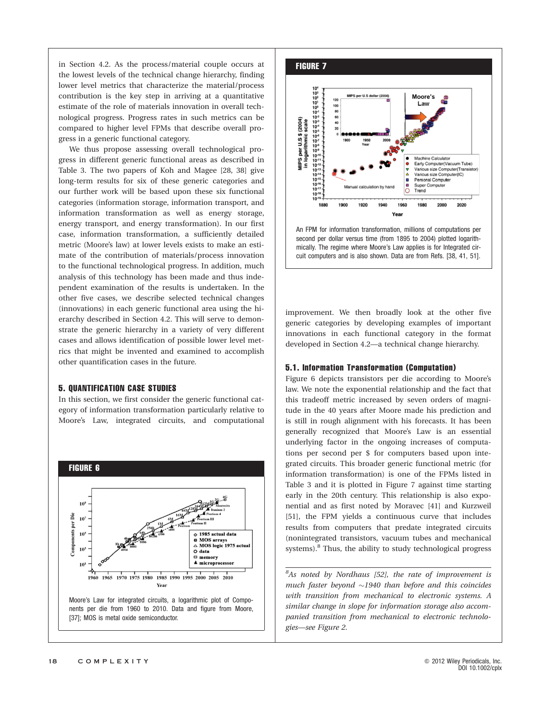in Section 4.2. As the process/material couple occurs at the lowest levels of the technical change hierarchy, finding lower level metrics that characterize the material/process contribution is the key step in arriving at a quantitative estimate of the role of materials innovation in overall technological progress. Progress rates in such metrics can be compared to higher level FPMs that describe overall progress in a generic functional category.

We thus propose assessing overall technological progress in different generic functional areas as described in Table 3. The two papers of Koh and Magee [28, 38] give long-term results for six of these generic categories and our further work will be based upon these six functional categories (information storage, information transport, and information transformation as well as energy storage, energy transport, and energy transformation). In our first case, information transformation, a sufficiently detailed metric (Moore's law) at lower levels exists to make an estimate of the contribution of materials/process innovation to the functional technological progress. In addition, much analysis of this technology has been made and thus independent examination of the results is undertaken. In the other five cases, we describe selected technical changes (innovations) in each generic functional area using the hierarchy described in Section 4.2. This will serve to demonstrate the generic hierarchy in a variety of very different cases and allows identification of possible lower level metrics that might be invented and examined to accomplish other quantification cases in the future.

#### 5. QUANTIFICATION CASE STUDIES

In this section, we first consider the generic functional category of information transformation particularly relative to Moore's Law, integrated circuits, and computational





improvement. We then broadly look at the other five generic categories by developing examples of important innovations in each functional category in the format developed in Section 4.2—a technical change hierarchy.

#### 5.1. Information Transformation (Computation)

Figure 6 depicts transistors per die according to Moore's law. We note the exponential relationship and the fact that this tradeoff metric increased by seven orders of magnitude in the 40 years after Moore made his prediction and is still in rough alignment with his forecasts. It has been generally recognized that Moore's Law is an essential underlying factor in the ongoing increases of computations per second per \$ for computers based upon integrated circuits. This broader generic functional metric (for information transformation) is one of the FPMs listed in Table 3 and it is plotted in Figure 7 against time starting early in the 20th century. This relationship is also exponential and as first noted by Moravec [41] and Kurzweil [51], the FPM yields a continuous curve that includes results from computers that predate integrated circuits (nonintegrated transistors, vacuum tubes and mechanical systems).<sup>8</sup> Thus, the ability to study technological progress

 $8$ As noted by Nordhaus [52], the rate of improvement is much faster beyond  $\sim$ 1940 than before and this coincides with transition from mechanical to electronic systems. A similar change in slope for information storage also accompanied transition from mechanical to electronic technologies—see Figure 2.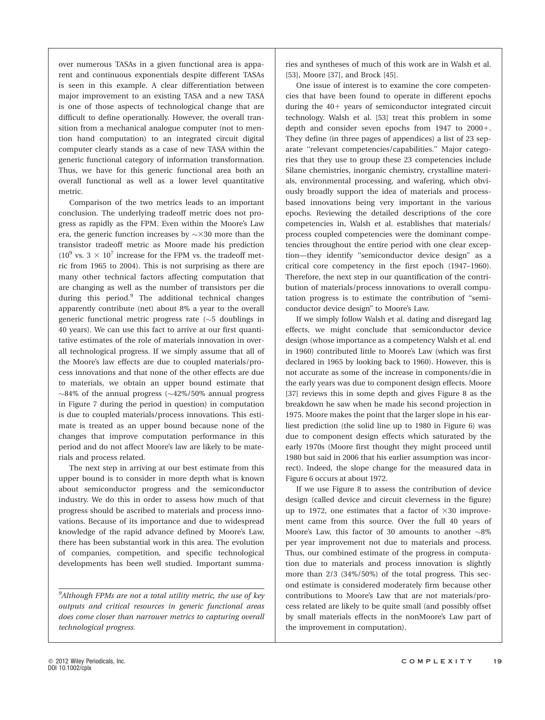over numerous TASAs in a given functional area is apparent and continuous exponentials despite different TASAs is seen in this example. A clear differentiation between major improvement to an existing TASA and a new TASA is one of those aspects of technological change that are difficult to define operationally. However, the overall transition from a mechanical analogue computer (not to mention hand computation) to an integrated circuit digital computer clearly stands as a case of new TASA within the generic functional category of information transformation. Thus, we have for this generic functional area both an overall functional as well as a lower level quantitative metric.

Comparison of the two metrics leads to an important conclusion. The underlying tradeoff metric does not progress as rapidly as the FPM. Even within the Moore's Law era, the generic function increases by  $\sim \times 30$  more than the transistor tradeoff metric as Moore made his prediction  $(10^9 \text{ vs. } 3 \times 10^7 \text{ increase for the FPM vs. the tradeoff met-}$ ric from 1965 to 2004). This is not surprising as there are many other technical factors affecting computation that are changing as well as the number of transistors per die during this period.<sup>9</sup> The additional technical changes apparently contribute (net) about 8% a year to the overall generic functional metric progress rate  $({\sim}5$  doublings in 40 years). We can use this fact to arrive at our first quantitative estimates of the role of materials innovation in overall technological progress. If we simply assume that all of the Moore's law effects are due to coupled materials/process innovations and that none of the other effects are due to materials, we obtain an upper bound estimate that  $\sim$ 84% of the annual progress ( $\sim$ 42%/50% annual progress in Figure 7 during the period in question) in computation is due to coupled materials/process innovations. This estimate is treated as an upper bound because none of the changes that improve computation performance in this period and do not affect Moore's law are likely to be materials and process related.

The next step in arriving at our best estimate from this upper bound is to consider in more depth what is known about semiconductor progress and the semiconductor industry. We do this in order to assess how much of that progress should be ascribed to materials and process innovations. Because of its importance and due to widespread knowledge of the rapid advance defined by Moore's Law, there has been substantial work in this area. The evolution of companies, competition, and specific technological developments has been well studied. Important summa-

<sup>9</sup>Although FPMs are not a total utility metric, the use of key outputs and critical resources in generic functional areas does come closer than narrower metrics to capturing overall technological progress.

ries and syntheses of much of this work are in Walsh et al. [53], Moore [37], and Brock [45].

One issue of interest is to examine the core competencies that have been found to operate in different epochs during the  $40+$  years of semiconductor integrated circuit technology. Walsh et al. [53] treat this problem in some depth and consider seven epochs from  $1947$  to  $2000+$ . They define (in three pages of appendices) a list of 23 separate ''relevant competencies/capabilities.'' Major categories that they use to group these 23 competencies include Silane chemistries, inorganic chemistry, crystalline materials, environmental processing, and wafering, which obviously broadly support the idea of materials and processbased innovations being very important in the various epochs. Reviewing the detailed descriptions of the core competencies in, Walsh et al. establishes that materials/ process coupled competencies were the dominant competencies throughout the entire period with one clear exception—they identify ''semiconductor device design'' as a critical core competency in the first epoch (1947–1960). Therefore, the next step in our quantification of the contribution of materials/process innovations to overall computation progress is to estimate the contribution of ''semiconductor device design'' to Moore's Law.

If we simply follow Walsh et al. dating and disregard lag effects, we might conclude that semiconductor device design (whose importance as a competency Walsh et al. end in 1960) contributed little to Moore's Law (which was first declared in 1965 by looking back to 1960). However, this is not accurate as some of the increase in components/die in the early years was due to component design effects. Moore [37] reviews this in some depth and gives Figure 8 as the breakdown he saw when he made his second projection in 1975. Moore makes the point that the larger slope in his earliest prediction (the solid line up to 1980 in Figure 6) was due to component design effects which saturated by the early 1970s (Moore first thought they might proceed until 1980 but said in 2006 that his earlier assumption was incorrect). Indeed, the slope change for the measured data in Figure 6 occurs at about 1972.

If we use Figure 8 to assess the contribution of device design (called device and circuit cleverness in the figure) up to 1972, one estimates that a factor of  $\times 30$  improvement came from this source. Over the full 40 years of Moore's Law, this factor of 30 amounts to another  $\sim8\%$ per year improvement not due to materials and process. Thus, our combined estimate of the progress in computation due to materials and process innovation is slightly more than 2/3 (34%/50%) of the total progress. This second estimate is considered moderately firm because other contributions to Moore's Law that are not materials/process related are likely to be quite small (and possibly offset by small materials effects in the nonMoore's Law part of the improvement in computation).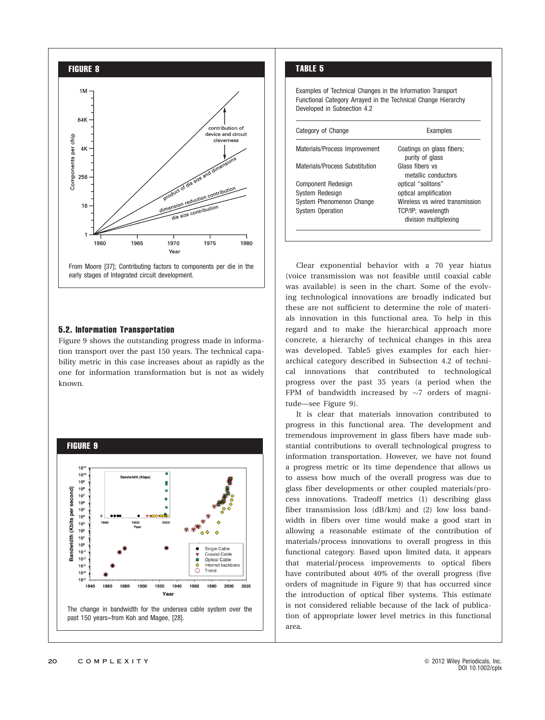

### 5.2. Information Transportation

Figure 9 shows the outstanding progress made in information transport over the past 150 years. The technical capability metric in this case increases about as rapidly as the one for information transformation but is not as widely known.



#### TABLE 5

Examples of Technical Changes in the Information Transport Functional Category Arrayed in the Technical Change Hierarchy Developed in Subsection 4.2

| Category of Change             | Examples                                     |
|--------------------------------|----------------------------------------------|
| Materials/Process Improvement  | Coatings on glass fibers;<br>purity of glass |
| Materials/Process Substitution | Glass fibers vs<br>metallic conductors       |
| <b>Component Redesign</b>      | optical "solitons"                           |
| System Redesign                | optical amplification                        |
| System Phenomenon Change       | Wireless vs wired transmission               |
| <b>System Operation</b>        | TCP/IP; wavelength                           |
|                                | division multiplexing                        |

Clear exponential behavior with a 70 year hiatus (voice transmission was not feasible until coaxial cable was available) is seen in the chart. Some of the evolving technological innovations are broadly indicated but these are not sufficient to determine the role of materials innovation in this functional area. To help in this regard and to make the hierarchical approach more concrete, a hierarchy of technical changes in this area was developed. Table5 gives examples for each hierarchical category described in Subsection 4.2 of technical innovations that contributed to technological progress over the past 35 years (a period when the FPM of bandwidth increased by  $\sim$ 7 orders of magnitude—see Figure 9).

It is clear that materials innovation contributed to progress in this functional area. The development and tremendous improvement in glass fibers have made substantial contributions to overall technological progress to information transportation. However, we have not found a progress metric or its time dependence that allows us to assess how much of the overall progress was due to glass fiber developments or other coupled materials/process innovations. Tradeoff metrics (1) describing glass fiber transmission loss (dB/km) and (2) low loss bandwidth in fibers over time would make a good start in allowing a reasonable estimate of the contribution of materials/process innovations to overall progress in this functional category. Based upon limited data, it appears that material/process improvements to optical fibers have contributed about 40% of the overall progress (five orders of magnitude in Figure 9) that has occurred since the introduction of optical fiber systems. This estimate is not considered reliable because of the lack of publication of appropriate lower level metrics in this functional area.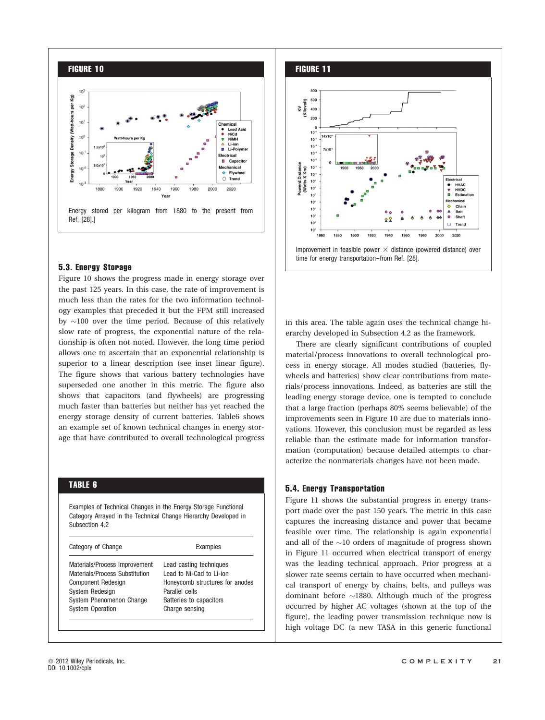

### 5.3. Energy Storage

Figure 10 shows the progress made in energy storage over the past 125 years. In this case, the rate of improvement is much less than the rates for the two information technology examples that preceded it but the FPM still increased by  $\sim$ 100 over the time period. Because of this relatively slow rate of progress, the exponential nature of the relationship is often not noted. However, the long time period allows one to ascertain that an exponential relationship is superior to a linear description (see inset linear figure). The figure shows that various battery technologies have superseded one another in this metric. The figure also shows that capacitors (and flywheels) are progressing much faster than batteries but neither has yet reached the energy storage density of current batteries. Table6 shows an example set of known technical changes in energy storage that have contributed to overall technological progress

# TABLE 6

Examples of Technical Changes in the Energy Storage Functional Category Arrayed in the Technical Change Hierarchy Developed in Subsection 4.2

#### Category of Change **Examples**

Materials/Process Improvement Lead casting techniques Materials/Process Substitution Lead to Ni-Cad to Li-ion System Redesign **Parallel cells** System Phenomenon Change Batteries to capacitors

Component Redesign **Honeycomb** structures for anodes System Operation Charge sensing



in this area. The table again uses the technical change hierarchy developed in Subsection 4.2 as the framework.

There are clearly significant contributions of coupled material/process innovations to overall technological process in energy storage. All modes studied (batteries, flywheels and batteries) show clear contributions from materials/process innovations. Indeed, as batteries are still the leading energy storage device, one is tempted to conclude that a large fraction (perhaps 80% seems believable) of the improvements seen in Figure 10 are due to materials innovations. However, this conclusion must be regarded as less reliable than the estimate made for information transformation (computation) because detailed attempts to characterize the nonmaterials changes have not been made.

#### 5.4. Energy Transportation

Figure 11 shows the substantial progress in energy transport made over the past 150 years. The metric in this case captures the increasing distance and power that became feasible over time. The relationship is again exponential and all of the  $\sim$ 10 orders of magnitude of progress shown in Figure 11 occurred when electrical transport of energy was the leading technical approach. Prior progress at a slower rate seems certain to have occurred when mechanical transport of energy by chains, belts, and pulleys was dominant before  $\sim$ 1880. Although much of the progress occurred by higher AC voltages (shown at the top of the figure), the leading power transmission technique now is high voltage DC (a new TASA in this generic functional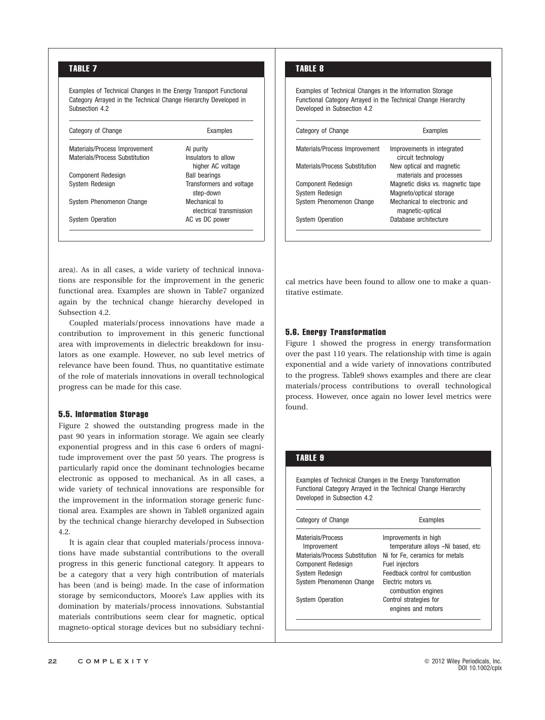Examples of Technical Changes in the Energy Transport Functional Category Arrayed in the Technical Change Hierarchy Developed in Subsection 4.2

| Category of Change                    | Examples                                 |  |
|---------------------------------------|------------------------------------------|--|
| Materials/Process Improvement         | Al purity                                |  |
| <b>Materials/Process Substitution</b> | Insulators to allow<br>higher AC voltage |  |
| <b>Component Redesign</b>             | <b>Ball bearings</b>                     |  |
| System Redesign                       | Transformers and voltage<br>step-down    |  |
| System Phenomenon Change              | Mechanical to<br>electrical transmission |  |
| <b>System Operation</b>               | AC vs DC power                           |  |

area). As in all cases, a wide variety of technical innovations are responsible for the improvement in the generic functional area. Examples are shown in Table7 organized again by the technical change hierarchy developed in Subsection 4.2.

Coupled materials/process innovations have made a contribution to improvement in this generic functional area with improvements in dielectric breakdown for insulators as one example. However, no sub level metrics of relevance have been found. Thus, no quantitative estimate of the role of materials innovations in overall technological progress can be made for this case.

#### 5.5. Information Storage

Figure 2 showed the outstanding progress made in the past 90 years in information storage. We again see clearly exponential progress and in this case 6 orders of magnitude improvement over the past 50 years. The progress is particularly rapid once the dominant technologies became electronic as opposed to mechanical. As in all cases, a wide variety of technical innovations are responsible for the improvement in the information storage generic functional area. Examples are shown in Table8 organized again by the technical change hierarchy developed in Subsection 4.2.

It is again clear that coupled materials/process innovations have made substantial contributions to the overall progress in this generic functional category. It appears to be a category that a very high contribution of materials has been (and is being) made. In the case of information storage by semiconductors, Moore's Law applies with its domination by materials/process innovations. Substantial materials contributions seem clear for magnetic, optical magneto-optical storage devices but no subsidiary techni-

#### TABLE 8

Examples of Technical Changes in the Information Storage Functional Category Arrayed in the Technical Change Hierarchy Developed in Subsection 4.2

| Category of Change             | Examples                                            |
|--------------------------------|-----------------------------------------------------|
| Materials/Process Improvement  | Improvements in integrated<br>circuit technology    |
| Materials/Process Substitution | New optical and magnetic<br>materials and processes |
| <b>Component Redesign</b>      | Magnetic disks vs. magnetic tape                    |
| System Redesign                | Magneto/optical storage                             |
| System Phenomenon Change       | Mechanical to electronic and<br>magnetic-optical    |
| <b>System Operation</b>        | Database architecture                               |

cal metrics have been found to allow one to make a quantitative estimate.

#### 5.6. Energy Transformation

Figure 1 showed the progress in energy transformation over the past 110 years. The relationship with time is again exponential and a wide variety of innovations contributed to the progress. Table9 shows examples and there are clear materials/process contributions to overall technological process. However, once again no lower level metrics were found.

### TABLE 9

Examples of Technical Changes in the Energy Transformation Functional Category Arrayed in the Technical Change Hierarchy Developed in Subsection 4.2

| Category of Change               | Examples                                                  |
|----------------------------------|-----------------------------------------------------------|
| Materials/Process<br>Improvement | Improvements in high<br>temperature alloys -Ni based, etc |
| Materials/Process Substitution   | Ni for Fe, ceramics for metals                            |
| <b>Component Redesign</b>        | Fuel injectors                                            |
| System Redesign                  | Feedback control for combustion                           |
| System Phenomenon Change         | Flectric motors vs.<br>combustion engines                 |
| <b>System Operation</b>          | Control strategies for<br>engines and motors              |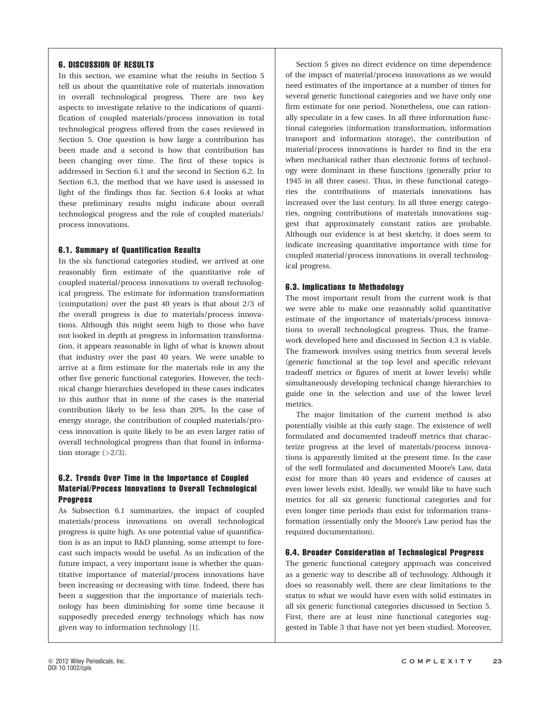## 6. DISCUSSION OF RESULTS

In this section, we examine what the results in Section 5 tell us about the quantitative role of materials innovation in overall technological progress. There are two key aspects to investigate relative to the indications of quantification of coupled materials/process innovation in total technological progress offered from the cases reviewed in Section 5. One question is how large a contribution has been made and a second is how that contribution has been changing over time. The first of these topics is addressed in Section 6.1 and the second in Section 6.2. In Section 6.3, the method that we have used is assessed in light of the findings thus far. Section 6.4 looks at what these preliminary results might indicate about overall technological progress and the role of coupled materials/ process innovations.

#### 6.1. Summary of Quantification Results

In the six functional categories studied, we arrived at one reasonably firm estimate of the quantitative role of coupled material/process innovations to overall technological progress. The estimate for information transformation (computation) over the past 40 years is that about 2/3 of the overall progress is due to materials/process innovations. Although this might seem high to those who have not looked in depth at progress in information transformation, it appears reasonable in light of what is known about that industry over the past 40 years. We were unable to arrive at a firm estimate for the materials role in any the other five generic functional categories. However, the technical change hierarchies developed in these cases indicates to this author that in none of the cases is the material contribution likely to be less than 20%. In the case of energy storage, the contribution of coupled materials/process innovation is quite likely to be an even larger ratio of overall technological progress than that found in information storage  $(>2/3)$ .

## 6.2. Trends Over Time in the Importance of Coupled Material/Process Innovations to Overall Technological **Progress**

As Subsection 6.1 summarizes, the impact of coupled materials/process innovations on overall technological progress is quite high. As one potential value of quantification is as an input to R&D planning, some attempt to forecast such impacts would be useful. As an indication of the future impact, a very important issue is whether the quantitative importance of material/process innovations have been increasing or decreasing with time. Indeed, there has been a suggestion that the importance of materials technology has been diminishing for some time because it supposedly preceded energy technology which has now given way to information technology [1].

Section 5 gives no direct evidence on time dependence of the impact of material/process innovations as we would need estimates of the importance at a number of times for several generic functional categories and we have only one firm estimate for one period. Nonetheless, one can rationally speculate in a few cases. In all three information functional categories (information transformation, information transport and information storage), the contribution of material/process innovations is harder to find in the era when mechanical rather than electronic forms of technology were dominant in these functions (generally prior to 1945 in all three cases). Thus, in these functional categories the contributions of materials innovations has increased over the last century. In all three energy categories, ongoing contributions of materials innovations suggest that approximately constant ratios are probable. Although our evidence is at best sketchy, it does seem to indicate increasing quantitative importance with time for coupled material/process innovations in overall technological progress.

#### 6.3. Implications to Methodology

The most important result from the current work is that we were able to make one reasonably solid quantitative estimate of the importance of materials/process innovations to overall technological progress. Thus, the framework developed here and discussed in Section 4.3 is viable. The framework involves using metrics from several levels (generic functional at the top level and specific relevant tradeoff metrics or figures of merit at lower levels) while simultaneously developing technical change hierarchies to guide one in the selection and use of the lower level metrics.

The major limitation of the current method is also potentially visible at this early stage. The existence of well formulated and documented tradeoff metrics that characterize progress at the level of materials/process innovations is apparently limited at the present time. In the case of the well formulated and documented Moore's Law, data exist for more than 40 years and evidence of causes at even lower levels exist. Ideally, we would like to have such metrics for all six generic functional categories and for even longer time periods than exist for information transformation (essentially only the Moore's Law period has the required documentation).

## 6.4. Broader Consideration of Technological Progress

The generic functional category approach was conceived as a generic way to describe all of technology. Although it does so reasonably well, there are clear limitations to the status to what we would have even with solid estimates in all six generic functional categories discussed in Section 5. First, there are at least nine functional categories suggested in Table 3 that have not yet been studied. Moreover,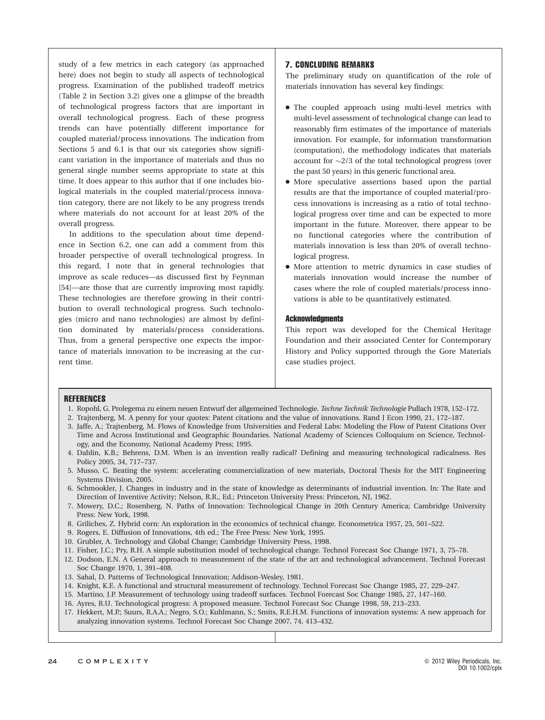study of a few metrics in each category (as approached here) does not begin to study all aspects of technological progress. Examination of the published tradeoff metrics (Table 2 in Section 3.2) gives one a glimpse of the breadth of technological progress factors that are important in overall technological progress. Each of these progress trends can have potentially different importance for coupled material/process innovations. The indication from Sections 5 and 6.1 is that our six categories show significant variation in the importance of materials and thus no general single number seems appropriate to state at this time. It does appear to this author that if one includes biological materials in the coupled material/process innovation category, there are not likely to be any progress trends where materials do not account for at least 20% of the overall progress.

In additions to the speculation about time dependence in Section 6.2, one can add a comment from this broader perspective of overall technological progress. In this regard, I note that in general technologies that improve as scale reduces—as discussed first by Feynman [54]—are those that are currently improving most rapidly. These technologies are therefore growing in their contribution to overall technological progress. Such technologies (micro and nano technologies) are almost by definition dominated by materials/process considerations. Thus, from a general perspective one expects the importance of materials innovation to be increasing at the current time.

# 7. CONCLUDING REMARKS

The preliminary study on quantification of the role of materials innovation has several key findings:

- The coupled approach using multi-level metrics with multi-level assessment of technological change can lead to reasonably firm estimates of the importance of materials innovation. For example, for information transformation (computation), the methodology indicates that materials account for  $\sim$ 2/3 of the total technological progress (over the past 50 years) in this generic functional area.
- c More speculative assertions based upon the partial results are that the importance of coupled material/process innovations is increasing as a ratio of total technological progress over time and can be expected to more important in the future. Moreover, there appear to be no functional categories where the contribution of materials innovation is less than 20% of overall technological progress.
- More attention to metric dynamics in case studies of materials innovation would increase the number of cases where the role of coupled materials/process innovations is able to be quantitatively estimated.

#### Acknowledgments

This report was developed for the Chemical Heritage Foundation and their associated Center for Contemporary History and Policy supported through the Gore Materials case studies project.

#### **REFERENCES**

- 1. Ropohl, G. Prolegema zu einem neuen Entwurf der allgemeined Technologie. Techne Technik Technologie Pullach 1978, 152–172.
- 2. Trajtenberg, M. A penny for your quotes: Patent citations and the value of innovations. Rand J Econ 1990, 21, 172–187.
- 3. Jaffe, A.; Trajtenberg, M. Flows of Knowledge from Universities and Federal Labs: Modeling the Flow of Patent Citations Over Time and Across Institutional and Geographic Boundaries. National Academy of Sciences Colloquium on Science, Technology, and the Economy, National Academy Press; 1995.
- 4. Dahlin, K.B.; Behrens, D.M. When is an invention really radical? Defining and measuring technological radicalness. Res Policy 2005, 34, 717–737.
- 5. Musso, C. Beating the system: accelerating commercialization of new materials, Doctoral Thesis for the MIT Engineering Systems Division, 2005.
- 6. Schmookler, J. Changes in industry and in the state of knowledge as determinants of industrial invention. In: The Rate and Direction of Inventive Activity; Nelson, R.R., Ed.; Princeton University Press: Princeton, NJ, 1962.
- 7. Mowery, D.C.; Rosenberg, N. Paths of Innovation: Technological Change in 20th Century America; Cambridge University Press: New York, 1998.
- 8. Griliches, Z. Hybrid corn: An exploration in the economics of technical change. Econometrica 1957, 25, 501–522.
- 9. Rogers, E. Diffusion of Innovations, 4th ed.; The Free Press: New York, 1995.
- 10. Grubler, A. Technology and Global Change; Cambridge University Press, 1998.
- 11. Fisher, J.C.; Pry, R.H. A simple substitution model of technological change. Technol Forecast Soc Change 1971, 3, 75–78.
- 12. Dodson, E.N. A General approach to measurement of the state of the art and technological advancement. Technol Forecast Soc Change 1970, 1, 391–408.
- 13. Sahal, D. Patterns of Technological Innovation; Addison-Wesley, 1981.
- 14. Knight, K.E. A functional and structural measurement of technology. Technol Forecast Soc Change 1985, 27, 229–247.
- 15. Martino, J.P. Measurement of technology using tradeoff surfaces. Technol Forecast Soc Change 1985, 27, 147–160.
- 16. Ayres, R.U. Technological progress: A proposed measure. Technol Forecast Soc Change 1998, 59, 213–233.
- 17. Hekkert, M.P.; Suurs, R.A.A.; Negro, S.O.; Kuhlmann, S.; Smits, R.E.H.M. Functions of innovation systems: A new approach for analyzing innovation systems. Technol Forecast Soc Change 2007, 74, 413–432.